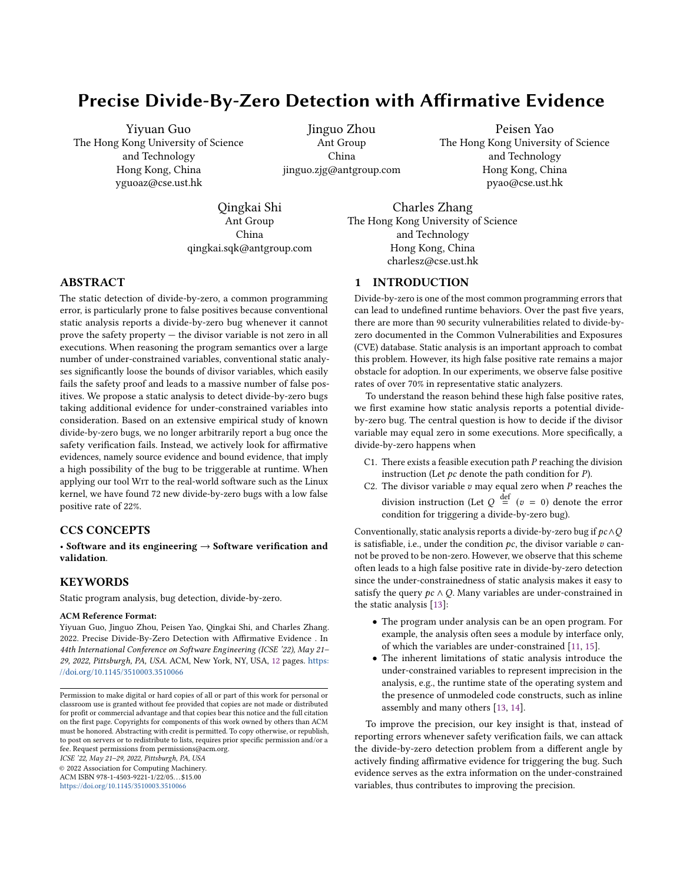# <span id="page-0-1"></span>Precise Divide-By-Zero Detection with Affirmative Evidence

Yiyuan Guo The Hong Kong University of Science and Technology Hong Kong, China yguoaz@cse.ust.hk

Jinguo Zhou Ant Group China jinguo.zjg@antgroup.com

Peisen Yao The Hong Kong University of Science and Technology Hong Kong, China pyao@cse.ust.hk

Qingkai Shi Ant Group China qingkai.sqk@antgroup.com

Charles Zhang and Technology Hong Kong, China charlesz@cse.ust.hk

# ABSTRACT

The static detection of divide-by-zero, a common programming error, is particularly prone to false positives because conventional static analysis reports a divide-by-zero bug whenever it cannot prove the safety property — the divisor variable is not zero in all executions. When reasoning the program semantics over a large number of under-constrained variables, conventional static analyses significantly loose the bounds of divisor variables, which easily fails the safety proof and leads to a massive number of false positives. We propose a static analysis to detect divide-by-zero bugs taking additional evidence for under-constrained variables into consideration. Based on an extensive empirical study of known divide-by-zero bugs, we no longer arbitrarily report a bug once the safety verification fails. Instead, we actively look for affirmative evidences, namely source evidence and bound evidence, that imply a high possibility of the bug to be triggerable at runtime. When applying our tool WIT to the real-world software such as the Linux kernel, we have found 72 new divide-by-zero bugs with a low false positive rate of 22%.

# CCS CONCEPTS

• Software and its engineering  $\rightarrow$  Software verification and validation.

# **KEYWORDS**

Static program analysis, bug detection, divide-by-zero.

#### ACM Reference Format:

Yiyuan Guo, Jinguo Zhou, Peisen Yao, Qingkai Shi, and Charles Zhang. 2022. Precise Divide-By-Zero Detection with Affirmative Evidence . In 44th International Conference on Software Engineering (ICSE '22), May 21– 29, 2022, Pittsburgh, PA, USA. ACM, New York, NY, USA, [12](#page-11-0) pages. [https:](https://doi.org/10.1145/3510003.3510066) [//doi.org/10.1145/3510003.3510066](https://doi.org/10.1145/3510003.3510066)

ICSE '22, May 21–29, 2022, Pittsburgh, PA, USA

© 2022 Association for Computing Machinery.

ACM ISBN 978-1-4503-9221-1/22/05. . . \$15.00 <https://doi.org/10.1145/3510003.3510066>

The Hong Kong University of Science

# <span id="page-0-0"></span>1 INTRODUCTION

Divide-by-zero is one of the most common programming errors that can lead to undefined runtime behaviors. Over the past five years, there are more than 90 security vulnerabilities related to divide-byzero documented in the Common Vulnerabilities and Exposures (CVE) database. Static analysis is an important approach to combat this problem. However, its high false positive rate remains a major obstacle for adoption. In our experiments, we observe false positive rates of over 70% in representative static analyzers.

To understand the reason behind these high false positive rates, we first examine how static analysis reports a potential divideby-zero bug. The central question is how to decide if the divisor variable may equal zero in some executions. More specifically, a divide-by-zero happens when

- C1. There exists a feasible execution path  $P$  reaching the division instruction (Let  $pc$  denote the path condition for  $P$ ).
- C2. The divisor variable  $v$  may equal zero when  $P$  reaches the division instruction (Let  $Q \stackrel{\text{def}}{=} (v = 0)$  denote the error condition for triggering a divide-by-zero bug).

Conventionally, static analysis reports a divide-by-zero bug if  $pc \land Q$ is satisfiable, i.e., under the condition  $pc$ , the divisor variable  $v$  cannot be proved to be non-zero. However, we observe that this scheme often leads to a high false positive rate in divide-by-zero detection since the under-constrainedness of static analysis makes it easy to satisfy the query  $pc \wedge Q$ . Many variables are under-constrained in the static analysis [\[13\]](#page-11-1):

- The program under analysis can be an open program. For example, the analysis often sees a module by interface only, of which the variables are under-constrained [\[11,](#page-11-2) [15\]](#page-11-3).
- The inherent limitations of static analysis introduce the under-constrained variables to represent imprecision in the analysis, e.g., the runtime state of the operating system and the presence of unmodeled code constructs, such as inline assembly and many others [\[13,](#page-11-1) [14\]](#page-11-4).

To improve the precision, our key insight is that, instead of reporting errors whenever safety verification fails, we can attack the divide-by-zero detection problem from a different angle by actively finding affirmative evidence for triggering the bug. Such evidence serves as the extra information on the under-constrained variables, thus contributes to improving the precision.

Permission to make digital or hard copies of all or part of this work for personal or classroom use is granted without fee provided that copies are not made or distributed for profit or commercial advantage and that copies bear this notice and the full citation on the first page. Copyrights for components of this work owned by others than ACM must be honored. Abstracting with credit is permitted. To copy otherwise, or republish, to post on servers or to redistribute to lists, requires prior specific permission and/or a fee. Request permissions from permissions@acm.org.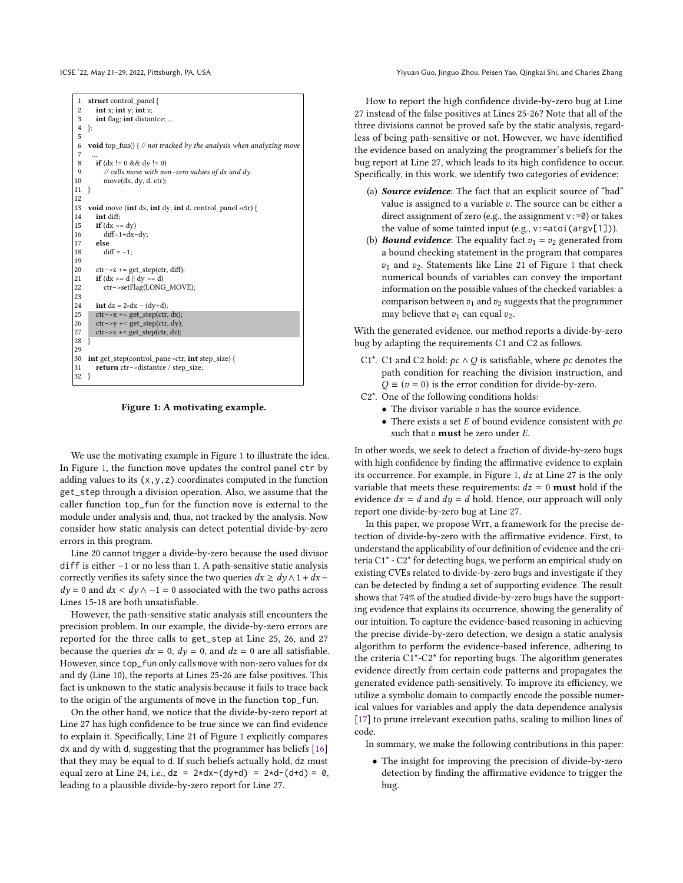ICSE '22, May 21–29, 2022, Pittsburgh, PA, USA Yiyuan Guo, Jinguo Zhou, Peisen Yao, Qingkai Shi, and Charles Zhang

<span id="page-1-0"></span>

Figure 1: A motivating example.

We use the motivating example in Figure [1](#page-1-0) to illustrate the idea. In Figure [1,](#page-1-0) the function move updates the control panel ctr by adding values to its  $(x, y, z)$  coordinates computed in the function get\_step through a division operation. Also, we assume that the caller function top\_fun for the function move is external to the module under analysis and, thus, not tracked by the analysis. Now consider how static analysis can detect potential divide-by-zero errors in this program.

Line 20 cannot trigger a divide-by-zero because the used divisor diff is either −1 or no less than 1. A path-sensitive static analysis correctly verifies its safety since the two queries  $dx \ge dy \wedge 1 + dx$  $dy = 0$  and  $dx < dy \wedge -1 = 0$  associated with the two paths across Lines 15-18 are both unsatisfiable.

However, the path-sensitive static analysis still encounters the precision problem. In our example, the divide-by-zero errors are reported for the three calls to get\_step at Line 25, 26, and 27 because the queries  $dx = 0$ ,  $dy = 0$ , and  $dz = 0$  are all satisfiable. However, since top\_fun only calls move with non-zero values for dx and dy (Line 10), the reports at Lines 25-26 are false positives. This fact is unknown to the static analysis because it fails to trace back to the origin of the arguments of move in the function top\_fun.

On the other hand, we notice that the divide-by-zero report at Line 27 has high confidence to be true since we can find evidence to explain it. Specifically, Line 21 of Figure [1](#page-1-0) explicitly compares dx and dy with d, suggesting that the programmer has beliefs [\[16\]](#page-11-5) that they may be equal to d. If such beliefs actually hold, dz must equal zero at Line 24, i.e.,  $dz = 2*dx-(dy+d) = 2*d-(d+d) = 0$ , leading to a plausible divide-by-zero report for Line 27.

How to report the high confidence divide-by-zero bug at Line 27 instead of the false positives at Lines 25-26? Note that all of the three divisions cannot be proved safe by the static analysis, regardless of being path-sensitive or not. However, we have identified the evidence based on analyzing the programmer's beliefs for the bug report at Line 27, which leads to its high confidence to occur. Specifically, in this work, we identify two categories of evidence:

- (a) Source evidence: The fact that an explicit source of "bad" value is assigned to a variable  $v$ . The source can be either a direct assignment of zero (e.g., the assignment  $v := 0$ ) or takes the value of some tainted input (e.g., v:=atoi(argv[1])).
- (b) **Bound evidence**: The equality fact  $v_1 = v_2$  generated from a bound checking statement in the program that compares  $v_1$  $v_1$  and  $v_2$ . Statements like Line 21 of Figure 1 that check numerical bounds of variables can convey the important information on the possible values of the checked variables: a comparison between  $v_1$  and  $v_2$  suggests that the programmer may believe that  $v_1$  can equal  $v_2$ .

With the generated evidence, our method reports a divide-by-zero bug by adapting the requirements C1 and C2 as follows.

- C1\*. C1 and C2 hold:  $pc \wedge Q$  is satisfiable, where  $pc$  denotes the path condition for reaching the division instruction, and  $Q \equiv (v = 0)$  is the error condition for divide-by-zero.
- C2\*. One of the following conditions holds:
	- The divisor variable  $v$  has the source evidence.
	- There exists a set  $E$  of bound evidence consistent with  $pc$ such that  $v$  must be zero under  $E$ .

In other words, we seek to detect a fraction of divide-by-zero bugs with high confidence by finding the affirmative evidence to explain its occurrence. For example, in Figure [1,](#page-1-0)  $dz$  at Line 27 is the only variable that meets these requirements:  $dz = 0$  must hold if the evidence  $dx = d$  and  $dy = d$  hold. Hence, our approach will only report one divide-by-zero bug at Line 27.

In this paper, we propose WIT, a framework for the precise detection of divide-by-zero with the affirmative evidence. First, to understand the applicability of our definition of evidence and the criteria C1\* - C2\* for detecting bugs, we perform an empirical study on existing CVEs related to divide-by-zero bugs and investigate if they can be detected by finding a set of supporting evidence. The result shows that 74% of the studied divide-by-zero bugs have the supporting evidence that explains its occurrence, showing the generality of our intuition. To capture the evidence-based reasoning in achieving the precise divide-by-zero detection, we design a static analysis algorithm to perform the evidence-based inference, adhering to the criteria C1\*-C2\* for reporting bugs. The algorithm generates evidence directly from certain code patterns and propagates the generated evidence path-sensitively. To improve its efficiency, we utilize a symbolic domain to compactly encode the possible numerical values for variables and apply the data dependence analysis [\[17\]](#page-11-6) to prune irrelevant execution paths, scaling to million lines of code.

In summary, we make the following contributions in this paper:

• The insight for improving the precision of divide-by-zero detection by finding the affirmative evidence to trigger the bug.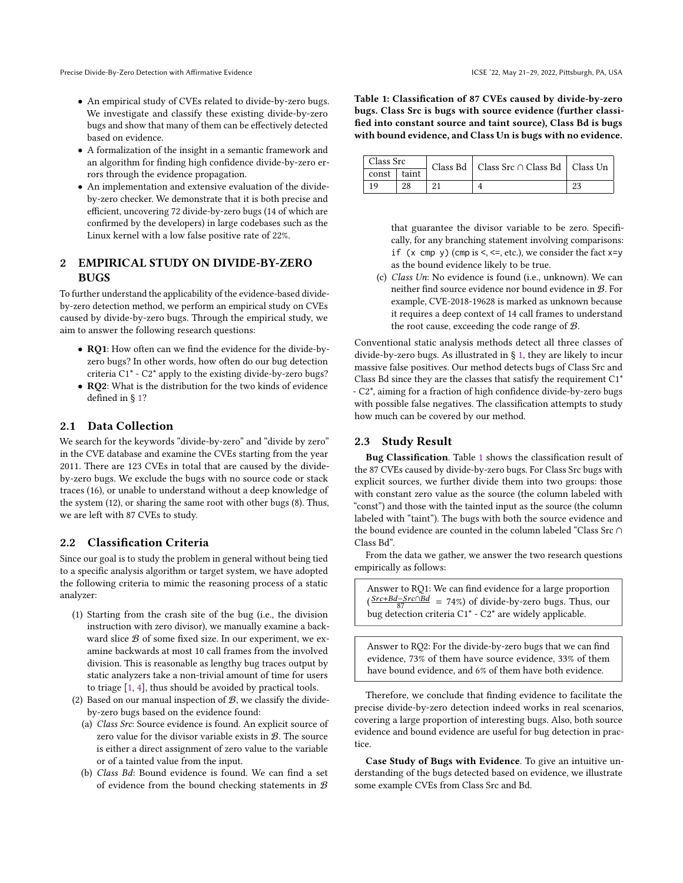- An empirical study of CVEs related to divide-by-zero bugs. We investigate and classify these existing divide-by-zero bugs and show that many of them can be effectively detected based on evidence.
- A formalization of the insight in a semantic framework and an algorithm for finding high confidence divide-by-zero errors through the evidence propagation.
- An implementation and extensive evaluation of the divideby-zero checker. We demonstrate that it is both precise and efficient, uncovering 72 divide-by-zero bugs (14 of which are confirmed by the developers) in large codebases such as the Linux kernel with a low false positive rate of 22%.

# 2 EMPIRICAL STUDY ON DIVIDE-BY-ZERO BUGS

To further understand the applicability of the evidence-based divideby-zero detection method, we perform an empirical study on CVEs caused by divide-by-zero bugs. Through the empirical study, we aim to answer the following research questions:

- RQ1: How often can we find the evidence for the divide-byzero bugs? In other words, how often do our bug detection criteria C1\* - C2\* apply to the existing divide-by-zero bugs? • RQ2: What is the distribution for the two kinds of evidence
- defined in § [1?](#page-0-0)

## 2.1 Data Collection

We search for the keywords "divide-by-zero" and "divide by zero" in the CVE database and examine the CVEs starting from the year 2011. There are 123 CVEs in total that are caused by the divideby-zero bugs. We exclude the bugs with no source code or stack traces (16), or unable to understand without a deep knowledge of the system (12), or sharing the same root with other bugs (8). Thus, we are left with 87 CVEs to study.

#### 2.2 Classification Criteria

Since our goal is to study the problem in general without being tied to a specific analysis algorithm or target system, we have adopted the following criteria to mimic the reasoning process of a static analyzer:

- (1) Starting from the crash site of the bug (i.e., the division instruction with zero divisor), we manually examine a backward slice  $B$  of some fixed size. In our experiment, we examine backwards at most 10 call frames from the involved division. This is reasonable as lengthy bug traces output by static analyzers take a non-trivial amount of time for users to triage [\[1,](#page-10-0) [4\]](#page-10-1), thus should be avoided by practical tools.
- (2) Based on our manual inspection of  $B$ , we classify the divideby-zero bugs based on the evidence found:
	- (a) Class Src: Source evidence is found. An explicit source of zero value for the divisor variable exists in  $B$ . The source is either a direct assignment of zero value to the variable or of a tainted value from the input.
	- (b) Class Bd: Bound evidence is found. We can find a set of evidence from the bound checking statements in B

<span id="page-2-0"></span>Table 1: Classification of 87 CVEs caused by divide-by-zero bugs. Class Src is bugs with source evidence (further classified into constant source and taint source), Class Bd is bugs with bound evidence, and Class Un is bugs with no evidence.

| Class Src                   |    | Class Bd   Class Src $\cap$ Class Bd   Class Un |  |  |
|-----------------------------|----|-------------------------------------------------|--|--|
| $\vert$ const $\vert$ taint |    |                                                 |  |  |
| 10                          | 28 |                                                 |  |  |

that guarantee the divisor variable to be zero. Specifically, for any branching statement involving comparisons: if  $(x \text{ cmp } y)$  (cmp is <, <=, etc.), we consider the fact  $x=y$ as the bound evidence likely to be true.

(c) Class Un: No evidence is found (i.e., unknown). We can neither find source evidence nor bound evidence in B. For example, CVE-2018-19628 is marked as unknown because it requires a deep context of 14 call frames to understand the root cause, exceeding the code range of B.

Conventional static analysis methods detect all three classes of divide-by-zero bugs. As illustrated in § [1,](#page-0-0) they are likely to incur massive false positives. Our method detects bugs of Class Src and Class Bd since they are the classes that satisfy the requirement C1\* - C2\*, aiming for a fraction of high confidence divide-by-zero bugs with possible false negatives. The classification attempts to study how much can be covered by our method.

## 2.3 Study Result

Bug Classification. Table [1](#page-2-0) shows the classification result of the 87 CVEs caused by divide-by-zero bugs. For Class Src bugs with explicit sources, we further divide them into two groups: those with constant zero value as the source (the column labeled with "const") and those with the tainted input as the source (the column labeled with "taint"). The bugs with both the source evidence and the bound evidence are counted in the column labeled "Class Src ∩ Class Bd".

From the data we gather, we answer the two research questions empirically as follows:

Answer to RQ1: We can find evidence for a large proportion  $\left(\frac{Src + Bd - src \cap Bd}{87} = 74\% \right)$  of divide-by-zero bugs. Thus, our bug detection criteria C1\* - C2\* are widely applicable.

Answer to RQ2: For the divide-by-zero bugs that we can find evidence, 73% of them have source evidence, 33% of them have bound evidence, and 6% of them have both evidence.

Therefore, we conclude that finding evidence to facilitate the precise divide-by-zero detection indeed works in real scenarios, covering a large proportion of interesting bugs. Also, both source evidence and bound evidence are useful for bug detection in practice.

Case Study of Bugs with Evidence. To give an intuitive understanding of the bugs detected based on evidence, we illustrate some example CVEs from Class Src and Bd.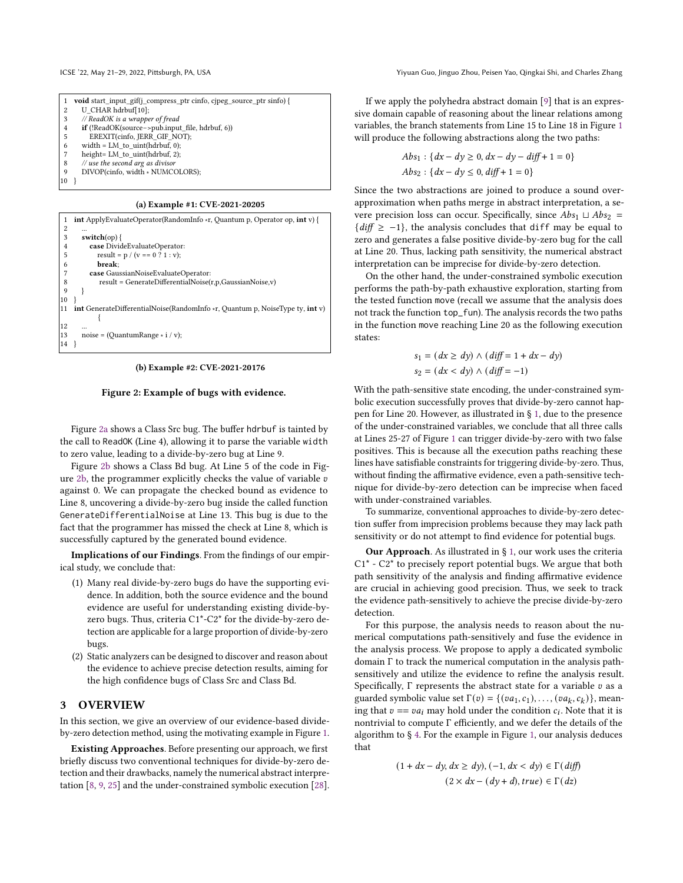<span id="page-3-0"></span>

|                | void start input gif(j compress ptr cinfo, cipeg source ptr sinfo) { |
|----------------|----------------------------------------------------------------------|
| $\overline{2}$ | U CHAR hdrbuf[10];                                                   |
| 3              | // ReadOK is a wrapper of fread                                      |
| 4              | if (!ReadOK(source->pub.input file, hdrbuf, 6))                      |
| 5              | EREXIT(cinfo, JERR GIF NOT);                                         |
| 6              | width = $LM$ to uint(hdrbuf, 0);                                     |
| 7              | height= LM to uint(hdrbuf, 2);                                       |
| 8              | $\frac{1}{x}$ use the second arg as divisor                          |
| 9              | DIVOP(cinfo, width * NUMCOLORS);                                     |
|                |                                                                      |

(a) Example #1: CVE-2021-20205

|                | <b>int</b> ApplyEvaluateOperator(RandomInfo *r, Quantum p, Operator op, <b>int</b> v) { |
|----------------|-----------------------------------------------------------------------------------------|
| 2              |                                                                                         |
| 3              | switch(op) {                                                                            |
| $\overline{4}$ | case DivideEvaluateOperator:                                                            |
| 5              | result = $p / (v == 0 ? 1 : v);$                                                        |
| 6              | break:                                                                                  |
|                | case GaussianNoiseEvaluateOperator:                                                     |
| 8              | $result = GenerateDifferentialNoise(r, p, GaussianNoise, v)$                            |
| 9              |                                                                                         |
| 10             |                                                                                         |
| 11             | int GenerateDifferentialNoise(RandomInfo $\star$ r, Quantum p, NoiseType ty, int v)     |
|                |                                                                                         |
| 12             |                                                                                         |
| 13             | noise = (OuantumRange $\star$ i / v);                                                   |
| 14             |                                                                                         |

(b) Example #2: CVE-2021-20176

#### Figure 2: Example of bugs with evidence.

Figure [2a](#page-3-0) shows a Class Src bug. The buffer hdrbuf is tainted by the call to ReadOK (Line 4), allowing it to parse the variable width to zero value, leading to a divide-by-zero bug at Line 9.

Figure [2b](#page-3-0) shows a Class Bd bug. At Line 5 of the code in Fig-ure [2b,](#page-3-0) the programmer explicitly checks the value of variable  $v$ against 0. We can propagate the checked bound as evidence to Line 8, uncovering a divide-by-zero bug inside the called function GenerateDifferentialNoise at Line 13. This bug is due to the fact that the programmer has missed the check at Line 8, which is successfully captured by the generated bound evidence.

Implications of our Findings. From the findings of our empirical study, we conclude that:

- (1) Many real divide-by-zero bugs do have the supporting evidence. In addition, both the source evidence and the bound evidence are useful for understanding existing divide-byzero bugs. Thus, criteria C1\*-C2\* for the divide-by-zero detection are applicable for a large proportion of divide-by-zero bugs.
- (2) Static analyzers can be designed to discover and reason about the evidence to achieve precise detection results, aiming for the high confidence bugs of Class Src and Class Bd.

# <span id="page-3-1"></span>3 OVERVIEW

In this section, we give an overview of our evidence-based divideby-zero detection method, using the motivating example in Figure [1.](#page-1-0)

Existing Approaches. Before presenting our approach, we first briefly discuss two conventional techniques for divide-by-zero detection and their drawbacks, namely the numerical abstract interpretation [\[8,](#page-11-7) [9,](#page-11-8) [25\]](#page-11-9) and the under-constrained symbolic execution [\[28\]](#page-11-10).

If we apply the polyhedra abstract domain [\[9\]](#page-11-8) that is an expressive domain capable of reasoning about the linear relations among variables, the branch statements from Line 15 to Line 18 in Figure [1](#page-1-0) will produce the following abstractions along the two paths:

$$
Abs_1: \{dx - dy \ge 0, dx - dy - diff + 1 = 0\}
$$
  
 
$$
Abs_2: \{dx - dy \le 0, diff + 1 = 0\}
$$

Since the two abstractions are joined to produce a sound overapproximation when paths merge in abstract interpretation, a severe precision loss can occur. Specifically, since  $Abs_1 \sqcup Abs_2$  =  ${diff \ge -1}$ , the analysis concludes that diff may be equal to zero and generates a false positive divide-by-zero bug for the call at Line 20. Thus, lacking path sensitivity, the numerical abstract interpretation can be imprecise for divide-by-zero detection.

On the other hand, the under-constrained symbolic execution performs the path-by-path exhaustive exploration, starting from the tested function move (recall we assume that the analysis does not track the function top\_fun). The analysis records the two paths in the function move reaching Line 20 as the following execution states:

$$
s_1 = (dx \ge dy) \land (diff = 1 + dx - dy)
$$
  
\n
$$
s_2 = (dx < dy) \land (diff = -1)
$$

With the path-sensitive state encoding, the under-constrained symbolic execution successfully proves that divide-by-zero cannot happen for Line 20. However, as illustrated in § [1,](#page-0-0) due to the presence of the under-constrained variables, we conclude that all three calls at Lines 25-27 of Figure [1](#page-1-0) can trigger divide-by-zero with two false positives. This is because all the execution paths reaching these lines have satisfiable constraints for triggering divide-by-zero. Thus, without finding the affirmative evidence, even a path-sensitive technique for divide-by-zero detection can be imprecise when faced with under-constrained variables.

To summarize, conventional approaches to divide-by-zero detection suffer from imprecision problems because they may lack path sensitivity or do not attempt to find evidence for potential bugs.

Our Approach. As illustrated in § [1,](#page-0-0) our work uses the criteria C1\* - C2\* to precisely report potential bugs. We argue that both path sensitivity of the analysis and finding affirmative evidence are crucial in achieving good precision. Thus, we seek to track the evidence path-sensitively to achieve the precise divide-by-zero detection.

For this purpose, the analysis needs to reason about the numerical computations path-sensitively and fuse the evidence in the analysis process. We propose to apply a dedicated symbolic domain Γ to track the numerical computation in the analysis pathsensitively and utilize the evidence to refine the analysis result. Specifically,  $\Gamma$  represents the abstract state for a variable  $v$  as a guarded symbolic value set  $\Gamma(v) = \{(va_1, c_1), \ldots, (va_k, c_k)\}\)$ , meaning that  $v == va_i$  may hold under the condition  $c_i$ . Note that it is nontrivial to compute Γ efficiently, and we defer the details of the algorithm to § [4.](#page-4-0) For the example in Figure [1,](#page-1-0) our analysis deduces that

$$
(1 + dx - dy, dx \ge dy), (-1, dx < dy) \in \Gamma(\text{diff})
$$

$$
(2 \times dx - (dy + d), true) \in \Gamma(dz)
$$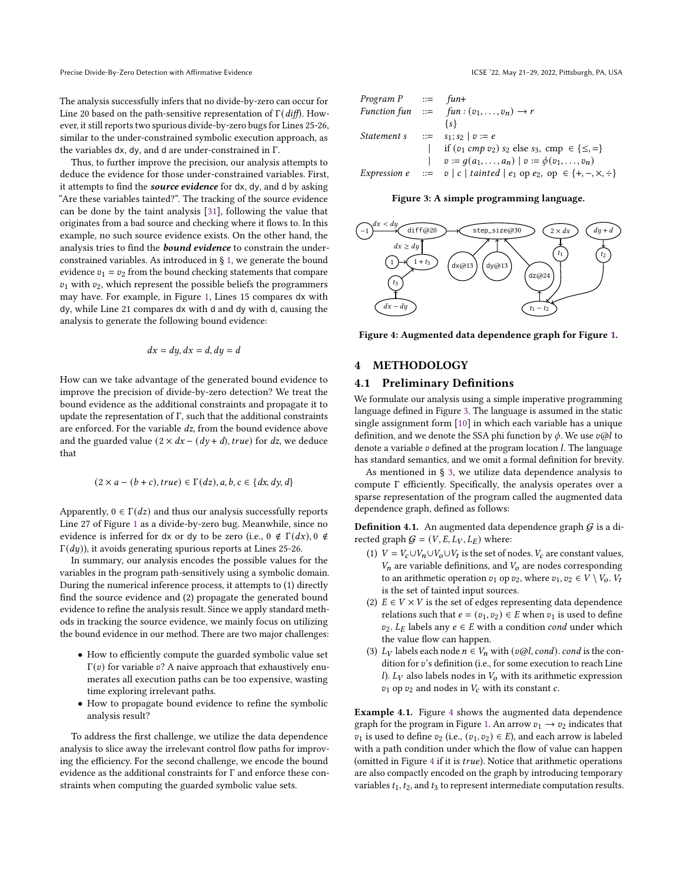Precise Divide-By-Zero Detection with Affirmative Evidence ICSE '22, May 21-29, 2022, Pittsburgh, PA, USA

The analysis successfully infers that no divide-by-zero can occur for Line 20 based on the path-sensitive representation of  $\Gamma(\text{diff})$ . However, it still reports two spurious divide-by-zero bugs for Lines 25-26, similar to the under-constrained symbolic execution approach, as the variables dx, dy, and d are under-constrained in Γ.

Thus, to further improve the precision, our analysis attempts to deduce the evidence for those under-constrained variables. First, it attempts to find the **source evidence** for dx, dy, and d by asking "Are these variables tainted?". The tracking of the source evidence can be done by the taint analysis [\[31\]](#page-11-11), following the value that originates from a bad source and checking where it flows to. In this example, no such source evidence exists. On the other hand, the analysis tries to find the **bound evidence** to constrain the underconstrained variables. As introduced in § [1,](#page-0-0) we generate the bound evidence  $v_1 = v_2$  from the bound checking statements that compare  $v_1$  with  $v_2$ , which represent the possible beliefs the programmers may have. For example, in Figure [1,](#page-1-0) Lines 15 compares dx with dy, while Line 21 compares dx with d and dy with d, causing the analysis to generate the following bound evidence:

$$
dx = dy, dx = d, dy = d
$$

How can we take advantage of the generated bound evidence to improve the precision of divide-by-zero detection? We treat the bound evidence as the additional constraints and propagate it to update the representation of Γ, such that the additional constraints are enforced. For the variable dz, from the bound evidence above and the guarded value  $(2 \times dx - (dy + d), true)$  for dz, we deduce that

$$
(2 \times a - (b + c), true) \in \Gamma(dz), a, b, c \in \{dx, dy, d\}
$$

Apparently,  $0 \in \Gamma(dz)$  and thus our analysis successfully reports Line 27 of Figure [1](#page-1-0) as a divide-by-zero bug. Meanwhile, since no evidence is inferred for dx or dy to be zero (i.e.,  $0 \notin \Gamma(dx)$ ,  $0 \notin \Gamma(dx)$  $\Gamma(dy)$ ), it avoids generating spurious reports at Lines 25-26.

In summary, our analysis encodes the possible values for the variables in the program path-sensitively using a symbolic domain. During the numerical inference process, it attempts to (1) directly find the source evidence and (2) propagate the generated bound evidence to refine the analysis result. Since we apply standard methods in tracking the source evidence, we mainly focus on utilizing the bound evidence in our method. There are two major challenges:

- How to efficiently compute the guarded symbolic value set  $\Gamma(v)$  for variable v? A naive approach that exhaustively enumerates all execution paths can be too expensive, wasting time exploring irrelevant paths.
- How to propagate bound evidence to refine the symbolic analysis result?

To address the first challenge, we utilize the data dependence analysis to slice away the irrelevant control flow paths for improving the efficiency. For the second challenge, we encode the bound evidence as the additional constraints for Γ and enforce these constraints when computing the guarded symbolic value sets.

<span id="page-4-1"></span>

| $Program\ P$    | ::= $fun+$                                                                 |
|-----------------|----------------------------------------------------------------------------|
| $Function\ fun$ | ::= $fun:(v_1,\ldots,v_n) \rightarrow r$                                   |
| $\{s\}$         |                                                                            |
| $Statement\ s$  | ::= $s_1; s_2   v := e$                                                    |
|                 | if $(v_1 \, comp\ v_2) s_2$ else $s_3$ , $cmp \in \{\leq, =\}$             |
|                 | $v := g(a_1, \ldots, a_n)   v := \phi(v_1, \ldots, v_n)$                   |
| $Expression\ e$ | ::= $v   c   tainted   e_1 \, op \, e_2, \, op \in \{+, -, \times, \div\}$ |

Figure 3: A simple programming language.

<span id="page-4-2"></span>

Figure 4: Augmented data dependence graph for Figure [1.](#page-1-0)

# <span id="page-4-0"></span>4 METHODOLOGY

#### 4.1 Preliminary Definitions

We formulate our analysis using a simple imperative programming language defined in Figure [3.](#page-4-1) The language is assumed in the static single assignment form [\[10\]](#page-11-12) in which each variable has a unique definition, and we denote the SSA phi function by  $\phi$ . We use  $v\ddot{\omega}$  to denote a variable  $v$  defined at the program location  $l$ . The language has standard semantics, and we omit a formal definition for brevity.

As mentioned in § [3,](#page-3-1) we utilize data dependence analysis to compute Γ efficiently. Specifically, the analysis operates over a sparse representation of the program called the augmented data dependence graph, defined as follows:

<span id="page-4-3"></span>**Definition 4.1.** An augmented data dependence graph  $G$  is a directed graph  $G = (V, E, L_V, L_E)$  where:

- (1)  $V = V_c \cup V_n \cup V_o \cup V_t$  is the set of nodes.  $V_c$  are constant values,  $V_n$  are variable definitions, and  $V_0$  are nodes corresponding to an arithmetic operation  $v_1$  op  $v_2$ , where  $v_1, v_2 \in V \setminus V_o$ .  $V_t$ is the set of tainted input sources.
- (2)  $E \in V \times V$  is the set of edges representing data dependence relations such that  $e = (v_1, v_2) \in E$  when  $v_1$  is used to define  $v_2$ .  $L_E$  labels any  $e \in E$  with a condition *cond* under which the value flow can happen.
- (3)  $L_V$  labels each node  $n \in V_n$  with  $(v@l, cond)$ . cond is the condition for  $v$ 's definition (i.e., for some execution to reach Line l).  $L_V$  also labels nodes in  $V_o$  with its arithmetic expression  $v_1$  op  $v_2$  and nodes in  $V_c$  with its constant  $c$ .

Example 4.1. Figure [4](#page-4-2) shows the augmented data dependence graph for the program in Figure [1.](#page-1-0) An arrow  $v_1 \rightarrow v_2$  indicates that  $v_1$  is used to define  $v_2$  (i.e.,  $(v_1, v_2) \in E$ ), and each arrow is labeled with a path condition under which the flow of value can happen (omitted in Figure [4](#page-4-2) if it is  $true$ ). Notice that arithmetic operations are also compactly encoded on the graph by introducing temporary variables  $t_1$ ,  $t_2$ , and  $t_3$  to represent intermediate computation results.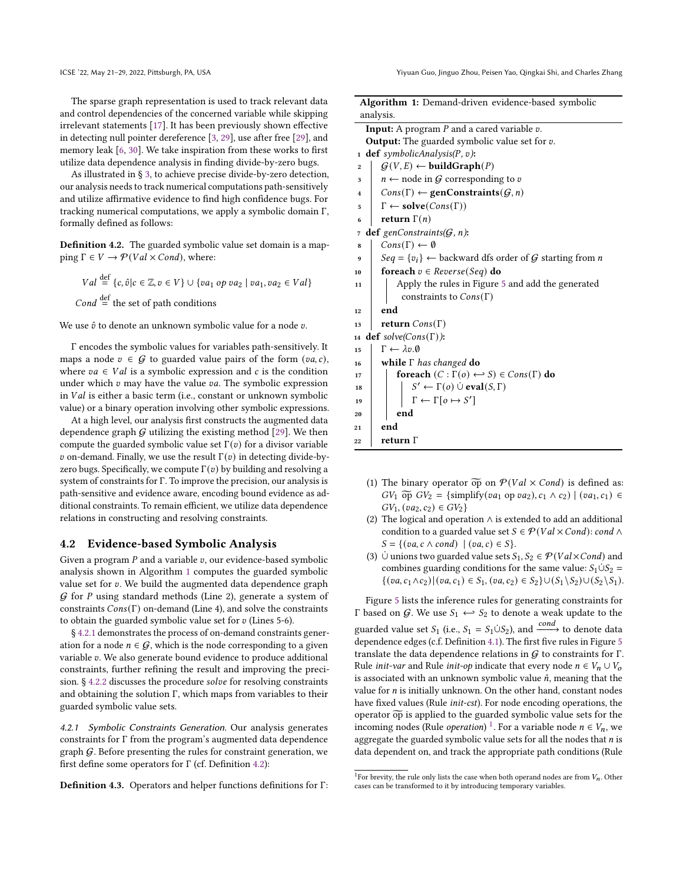As illustrated in § [3,](#page-3-1) to achieve precise divide-by-zero detection, our analysis needs to track numerical computations path-sensitively and utilize affirmative evidence to find high confidence bugs. For tracking numerical computations, we apply a symbolic domain Γ, formally defined as follows:

<span id="page-5-2"></span>Definition 4.2. The guarded symbolic value set domain is a mapping  $\Gamma \in V \longrightarrow \mathcal{P}(Val \times Cond)$ , where:

 $Val \stackrel{\text{def}}{=} \{c, \hat{v} | c \in \mathbb{Z}, v \in V\} \cup \{va_1 op\ va_2 \mid va_1, va_2 \in Val\}$ Cond  $\stackrel{\text{def}}{=}$  the set of path conditions

We use  $\hat{v}$  to denote an unknown symbolic value for a node  $v$ .

Γ encodes the symbolic values for variables path-sensitively. It maps a node  $v \in G$  to guarded value pairs of the form  $(va, c)$ , where  $va \in Val$  is a symbolic expression and c is the condition under which  $v$  may have the value  $va$ . The symbolic expression in  $Val$  is either a basic term (i.e., constant or unknown symbolic value) or a binary operation involving other symbolic expressions.

At a high level, our analysis first constructs the augmented data dependence graph  $G$  utilizing the existing method [\[29\]](#page-11-13). We then compute the guarded symbolic value set  $\Gamma(v)$  for a divisor variable v on-demand. Finally, we use the result  $\Gamma(v)$  in detecting divide-byzero bugs. Specifically, we compute  $\Gamma(v)$  by building and resolving a system of constraints for Γ. To improve the precision, our analysis is path-sensitive and evidence aware, encoding bound evidence as additional constraints. To remain efficient, we utilize data dependence relations in constructing and resolving constraints.

#### 4.2 Evidence-based Symbolic Analysis

Given a program  $P$  and a variable  $v$ , our evidence-based symbolic analysis shown in Algorithm [1](#page-5-0) computes the guarded symbolic value set for  $v$ . We build the augmented data dependence graph  $G$  for P using standard methods (Line 2), generate a system of constraints  $Cons(\Gamma)$  on-demand (Line 4), and solve the constraints to obtain the guarded symbolic value set for  $v$  (Lines 5-6).

§ [4.2.1](#page-5-1) demonstrates the process of on-demand constraints generation for a node  $n \in G$ , which is the node corresponding to a given variable  $v$ . We also generate bound evidence to produce additional constraints, further refining the result and improving the preci-sion. § [4.2.2](#page-6-0) discusses the procedure solve for resolving constraints and obtaining the solution Γ, which maps from variables to their guarded symbolic value sets.

<span id="page-5-1"></span>4.2.1 Symbolic Constraints Generation. Our analysis generates constraints for Γ from the program's augmented data dependence graph  $G$ . Before presenting the rules for constraint generation, we first define some operators for Γ (cf. Definition [4.2\)](#page-5-2):

<span id="page-5-3"></span>Definition 4.3. Operators and helper functions definitions for Γ:

<span id="page-5-0"></span>

|                                                        | <b>Algorithm 1:</b> Demand-driven evidence-based symbolic                                         |  |  |  |  |  |  |
|--------------------------------------------------------|---------------------------------------------------------------------------------------------------|--|--|--|--|--|--|
|                                                        | analysis.                                                                                         |  |  |  |  |  |  |
| <b>Input:</b> A program $P$ and a cared variable $v$ . |                                                                                                   |  |  |  |  |  |  |
|                                                        | <b>Output:</b> The guarded symbolic value set for $v$ .                                           |  |  |  |  |  |  |
| 1                                                      | <b>def</b> symbolicAnalysis( $P$ , $v$ ):                                                         |  |  |  |  |  |  |
| $\boldsymbol{2}$                                       | $G(V, E) \leftarrow \text{buildGraph}(P)$                                                         |  |  |  |  |  |  |
| 3                                                      | $n \leftarrow$ node in G corresponding to v                                                       |  |  |  |  |  |  |
| 4                                                      | $Cons(\Gamma) \leftarrow genConstraints(\mathcal{G}, n)$                                          |  |  |  |  |  |  |
| 5                                                      | $\Gamma \leftarrow \textbf{solve}(Cons(\Gamma))$                                                  |  |  |  |  |  |  |
| 6                                                      | return $\Gamma(n)$                                                                                |  |  |  |  |  |  |
| 7                                                      | <b>def</b> genConstraints( $G$ , n):                                                              |  |  |  |  |  |  |
| 8                                                      | $Cons(\Gamma) \leftarrow \emptyset$                                                               |  |  |  |  |  |  |
| 9                                                      | $Seq = \{v_i\} \leftarrow$ backward dfs order of $G$ starting from <i>n</i>                       |  |  |  |  |  |  |
| 10                                                     | <b>foreach</b> $v \in Reverse(Seq)$ <b>do</b>                                                     |  |  |  |  |  |  |
| 11                                                     | Apply the rules in Figure 5 and add the generated                                                 |  |  |  |  |  |  |
|                                                        | constraints to $Cons(\Gamma)$                                                                     |  |  |  |  |  |  |
| 12                                                     | end                                                                                               |  |  |  |  |  |  |
| 13                                                     | <b>return</b> $Cons(\Gamma)$                                                                      |  |  |  |  |  |  |
| 14                                                     | <b>def</b> solve(Cons( $\Gamma$ ):                                                                |  |  |  |  |  |  |
| 15                                                     | $\Gamma \leftarrow \lambda v. \emptyset$                                                          |  |  |  |  |  |  |
| 16                                                     | while $\Gamma$ has changed do                                                                     |  |  |  |  |  |  |
| 17                                                     | foreach $(C : \Gamma(o) \leftrightarrow S) \in Cons(\Gamma)$ do                                   |  |  |  |  |  |  |
| 18                                                     | $S' \leftarrow \Gamma(o) \cup \text{eval}(S, \Gamma)$<br>$\Gamma \leftarrow \Gamma[o \mapsto S']$ |  |  |  |  |  |  |
| 19                                                     |                                                                                                   |  |  |  |  |  |  |
| 20                                                     | end                                                                                               |  |  |  |  |  |  |
| 21                                                     | end                                                                                               |  |  |  |  |  |  |
| 22                                                     | return $\Gamma$                                                                                   |  |  |  |  |  |  |

- (1) The binary operator  $\widetilde{\rho p}$  on  $P ( Val \times Cond)$  is defined as:  $GV_1$   $\widetilde{op}$   $GV_2 = {\text{simply}}(va_1 \text{ op } va_2), c_1 \wedge c_2)$  |  $(va_1, c_1) \in$  $GV_1, (va_2, c_2) \in GV_2\}$
- (2) The logical and operation ∧ is extended to add an additional condition to a guarded value set  $S \in \mathcal{P}(Val \times Cond)$ : cond  $\wedge$  $S = \{(va, c \land cond) \mid (va, c) \in S\}.$
- (3) ∪ unions two guarded value sets  $S_1, S_2 \in \mathcal{P}(Val \times Cond)$  and combines guarding conditions for the same value:  $S_1 \dot{\cup} S_2 =$  $\{(va, c_1 \wedge c_2) | (va, c_1) \in S_1, (va, c_2) \in S_2\} \cup (S_1 \backslash S_2) \cup (S_2 \backslash S_1).$

Figure [5](#page-6-1) lists the inference rules for generating constraints for Γ based on *G*. We use  $S_1$  ←  $S_2$  to denote a weak update to the guarded value set  $S_1$  (i.e.,  $S_1 = S_1 \dot{\cup} S_2$ ), and  $\overrightarrow{cond}$  to denote data dependence edges (c.f. Definition [4.1\)](#page-4-3). The first five rules in Figure [5](#page-6-1) translate the data dependence relations in  $G$  to constraints for  $\Gamma$ . Rule *init-var* and Rule *init-op* indicate that every node  $n \in V_n \cup V_o$ is associated with an unknown symbolic value  $\hat{n}$ , meaning that the value for  $n$  is initially unknown. On the other hand, constant nodes have fixed values (Rule init-cst). For node encoding operations, the operator  $\widetilde{\rm op}$  is applied to the guarded symbolic value sets for the incoming nodes (Rule *operation*)<sup>[1](#page-0-1)</sup>. For a variable node  $n \in V_n$ , we aggregate the guarded symbolic value sets for all the nodes that  $n$  is data dependent on, and track the appropriate path conditions (Rule

<sup>&</sup>lt;sup>1</sup>For brevity, the rule only lists the case when both operand nodes are from  $V_n$ . Other cases can be transformed to it by introducing temporary variables.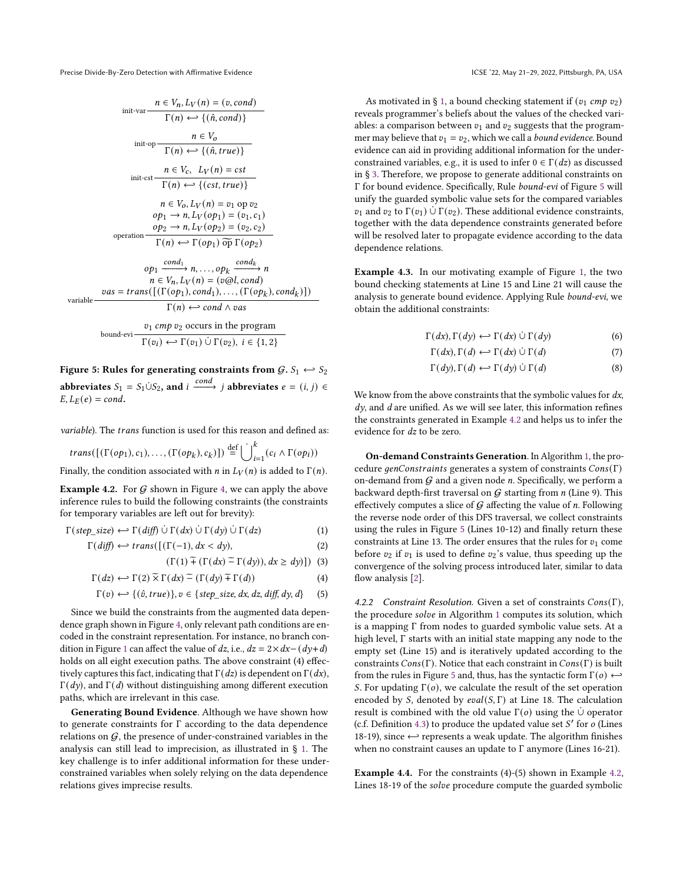<span id="page-6-1"></span>Precise Divide-By-Zero Detection with Affirmative Evidence ICSE '22, May 21-29, 2022, Pittsburgh, PA, USA

var

$$
n \in V_n, L_V(n) = (v, cond)
$$
  
init-var  $\Gamma(n) \leftrightarrow \{(\hat{n}, cond)\}$   
 $n \in V_0$   
init-op  $\frac{n \in V_0}{\Gamma(n) \leftrightarrow \{(\hat{n}, true)\}}$   
init-cst  $\frac{n \in V_c, L_V(n) = cst}{\Gamma(n) \leftrightarrow \{(\text{cst}, true)\}}$   
 $n \in V_0, L_V(n) = v_1$  op  $v_2$   
 $op_1 \rightarrow n, L_V(op_1) = (v_1, c_1)$   
operation  $\frac{op_2 \rightarrow n, L_V(op_2) = (v_2, c_2)}{\Gamma(n) \leftrightarrow \Gamma(op_1) \overline{op} \Gamma(op_2)}$   
 $op_1 \frac{cond_1}{\sqrt{n} \leftrightarrow \{V_n, L_V(n) = (v \otimes l, cond)$   
 $u_2 \neq 0$   
 $v_2 \neq 0$   
 $v_1 \in V_n, L_V(n) = (v \otimes l, cond)$   
Table  $\frac{v_1 \cdot \text{cm} \times \text{cm} \times \text{cm} \times \text{cm} \times \text{cm} \times \text{cm} \times \text{cm} \times \text{cm} \times \text{cm} \times \text{cm} \times \text{cm} \times \text{cm} \times \text{cm} \times \text{cm} \times \text{cm} \times \text{cm} \times \text{cm} \times \text{cm} \times \text{cm} \times \text{cm} \times \text{cm} \times \text{cm} \times \text{cm} \times \text{cm} \times \text{cm} \times \text{cm} \times \text{cm} \times \text{cm} \times \text{cm} \times \text{cm} \times \text{cm} \times \text{cm} \times \text{cm} \times \text{cm} \times \text{cm} \times \text{cm} \times \text{cm} \times \text{cm} \times \text{cm} \times \text{cm} \times \text{cm} \times \text{cm} \times \text{cm} \times \text{cm} \times \text{cm} \times \text{cm} \times \text{cm} \times \text{cm} \times \text{cm} \times \text{cm} \times \text{cm} \times \text{cm} \times \text{cm} \times \text{cm} \times \text{cm} \times \text{cm} \times \text{cm} \times \text{cm} \times \$ 

Figure 5: Rules for generating constraints from  $G_1 \rightarrow S_2$ abbreviates  $S_1 = S_1 \dot{\cup} S_2$ , and  $i \xrightarrow{cond} j$  abbreviates  $e = (i, j) \in$  $E, L_E(e) = cond.$ 

variable). The trans function is used for this reason and defined as:

$$
trans([(\Gamma(op_1), c_1), ..., (\Gamma(op_k), c_k)]) \stackrel{\text{def}}{=} \bigcup_{i=1}^k (c_i \wedge \Gamma(op_i))
$$

Finally, the condition associated with *n* in  $L_V(n)$  is added to  $\Gamma(n)$ .

<span id="page-6-2"></span>**Example 4.2.** For  $G$  shown in Figure [4,](#page-4-2) we can apply the above inference rules to build the following constraints (the constraints for temporary variables are left out for brevity):

$$
\Gamma(\text{step\_size}) \longleftrightarrow \Gamma(\text{diff}) \cup \Gamma(\text{dx}) \cup \Gamma(\text{dy}) \cup \Gamma(\text{dz})
$$
 (1)

$$
\Gamma\left(\text{diff}\right) \longleftrightarrow \text{trans}\left(\left[\left(\Gamma(-1), \, dx < \, dy\right)\right],\right. \tag{2}
$$

$$
(\Gamma(1) \tilde{+} (\Gamma(dx) \tilde{-} \Gamma(dy)), dx \ge dy)] (3)
$$

$$
\Gamma(dz) \longleftrightarrow \Gamma(2) \widetilde{\times} \Gamma(dx) \widetilde{\div} (\Gamma(dy) \widetilde{\div} \Gamma(d)) \tag{4}
$$

$$
\Gamma(v) \leftarrow \{(\hat{v}, true)\}, v \in \{step\_size, dx, dz, diff, dy, d\} \quad (5)
$$

Since we build the constraints from the augmented data dependence graph shown in Figure [4,](#page-4-2) only relevant path conditions are encoded in the constraint representation. For instance, no branch con-dition in Figure [1](#page-1-0) can affect the value of dz, i.e.,  $dz = 2 \times dx - (dy + d)$ holds on all eight execution paths. The above constraint (4) effectively captures this fact, indicating that  $\Gamma(dz)$  is dependent on  $\Gamma(dx)$ , Γ(dy), and Γ(d) without distinguishing among different execution paths, which are irrelevant in this case.

Generating Bound Evidence. Although we have shown how to generate constraints for Γ according to the data dependence relations on  $G$ , the presence of under-constrained variables in the analysis can still lead to imprecision, as illustrated in § [1.](#page-0-0) The key challenge is to infer additional information for these underconstrained variables when solely relying on the data dependence relations gives imprecise results.

As motivated in § [1,](#page-0-0) a bound checking statement if  $(v_1 \text{ cmp } v_2)$ reveals programmer's beliefs about the values of the checked variables: a comparison between  $v_1$  and  $v_2$  suggests that the programmer may believe that  $v_1 = v_2$ , which we call a *bound evidence*. Bound evidence can aid in providing additional information for the underconstrained variables, e.g., it is used to infer  $0 \in \Gamma(dz)$  as discussed in § [3.](#page-3-1) Therefore, we propose to generate additional constraints on Γ for bound evidence. Specifically, Rule bound-evi of Figure [5](#page-6-1) will unify the guarded symbolic value sets for the compared variables  $v_1$  and  $v_2$  to  $\Gamma(v_1)$   $\cup$   $\Gamma(v_2)$ . These additional evidence constraints, together with the data dependence constraints generated before will be resolved later to propagate evidence according to the data dependence relations.

<span id="page-6-3"></span>Example 4.3. In our motivating example of Figure [1,](#page-1-0) the two bound checking statements at Line 15 and Line 21 will cause the analysis to generate bound evidence. Applying Rule bound-evi, we obtain the additional constraints:

$$
\Gamma(dx), \Gamma(dy) \longleftrightarrow \Gamma(dx) \cup \Gamma(dy) \tag{6}
$$

$$
\Gamma(dx), \Gamma(d) \longleftrightarrow \Gamma(dx) \cup \Gamma(d) \tag{7}
$$

 $\Gamma(dy), \Gamma(d) \leftrightarrow \Gamma(dy) \cup \Gamma(d)$  (8)

We know from the above constraints that the symbolic values for  $dx$ ,  $dy$ , and  $d$  are unified. As we will see later, this information refines the constraints generated in Example [4.2](#page-6-2) and helps us to infer the evidence for dz to be zero.

On-demand Constraints Generation. In Algorithm [1,](#page-5-0) the procedure  $genConstraints$  generates a system of constraints  $Cons(\Gamma)$ on-demand from  $G$  and a given node  $n$ . Specifically, we perform a backward depth-first traversal on  $G$  starting from  $n$  (Line 9). This effectively computes a slice of  $G$  affecting the value of  $n$ . Following the reverse node order of this DFS traversal, we collect constraints using the rules in Figure [5](#page-6-1) (Lines 10-12) and finally return these constraints at Line 13. The order ensures that the rules for  $v_1$  come before  $v_2$  if  $v_1$  is used to define  $v_2$ 's value, thus speeding up the convergence of the solving process introduced later, similar to data flow analysis [\[2\]](#page-10-4).

<span id="page-6-0"></span>4.2.2 Constraint Resolution. Given a set of constraints Cons(Γ), the procedure *solve* in Algorithm [1](#page-5-0) computes its solution, which is a mapping Γ from nodes to guarded symbolic value sets. At a high level, Γ starts with an initial state mapping any node to the empty set (Line 15) and is iteratively updated according to the constraints  $Cons(\Gamma)$ . Notice that each constraint in  $Cons(\Gamma)$  is built from the rules in Figure [5](#page-6-1) and, thus, has the syntactic form  $\Gamma$ ( $o$ )  $\leftrightarrow$ S. For updating  $\Gamma$ ( $o$ ), we calculate the result of the set operation encoded by S, denoted by  $eval(S, \Gamma)$  at Line 18. The calculation result is combined with the old value  $\Gamma$ (*o*) using the ∪ operator (c.f. Definition [4.3\)](#page-5-3) to produce the updated value set  $S'$  for  $o$  (Lines 18-19), since  $\leftrightarrow$  represents a weak update. The algorithm finishes when no constraint causes an update to Γ anymore (Lines 16-21).

<span id="page-6-4"></span>Example 4.4. For the constraints (4)-(5) shown in Example [4.2,](#page-6-2) Lines 18-19 of the solve procedure compute the guarded symbolic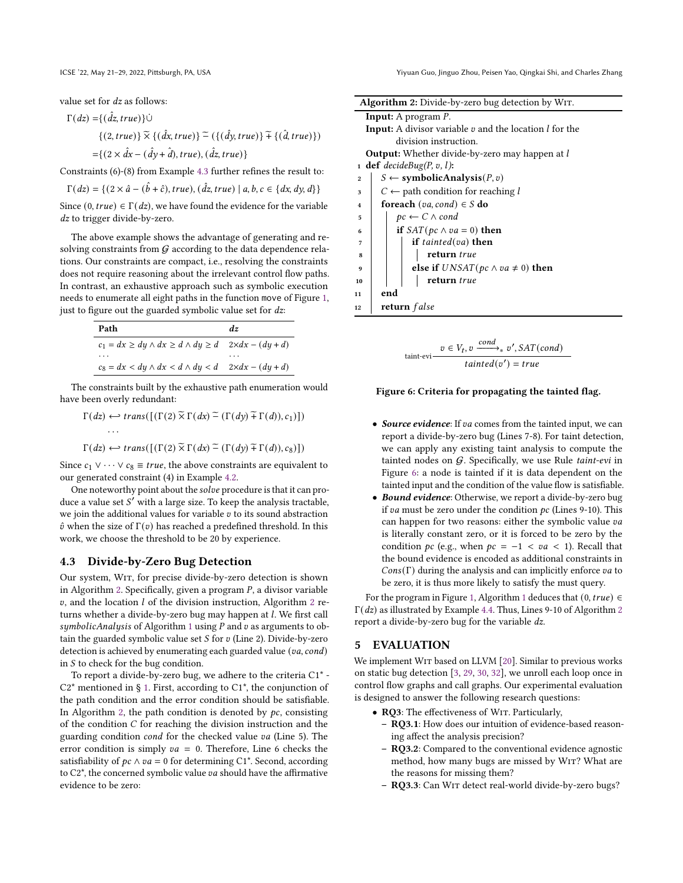value set for dz as follows:

$$
\Gamma(dz) = \{ (\hat{dz}, true) \} \dot{\cup}
$$
  

$$
\{ (2, true) \} \tilde{\times} \{ (\hat{dx}, true) \} \tilde{=} \{ (\{ (\hat{dy}, true) \} \tilde{+} \{ (\hat{d}, true) \} )
$$
  

$$
= \{ (2 \times \hat{dx} - (\hat{dy} + \hat{d}), true), (\hat{dz}, true) \}
$$

Constraints (6)-(8) from Example [4.3](#page-6-3) further refines the result to:

$$
\Gamma(dz) = \{ (2 \times \hat{a} - (\hat{b} + \hat{c}), true), (\hat{dz}, true) | a, b, c \in \{dx, dy, d\} \}
$$

Since  $(0, true) \in \Gamma(dz)$ , we have found the evidence for the variable dz to trigger divide-by-zero.

The above example shows the advantage of generating and resolving constraints from  ${\cal G}$  according to the data dependence relations. Our constraints are compact, i.e., resolving the constraints does not require reasoning about the irrelevant control flow paths. In contrast, an exhaustive approach such as symbolic execution needs to enumerate all eight paths in the function move of Figure [1,](#page-1-0) just to figure out the guarded symbolic value set for  $dz$ :

| Path                                                                       | dz                      |
|----------------------------------------------------------------------------|-------------------------|
| $c_1 = dx \ge dy \wedge dx \ge d \wedge dy \ge d$ $2 \times dx - (dy + d)$ |                         |
| .                                                                          | $\cdot$ $\cdot$ $\cdot$ |
| $c_8 = dx < dy \wedge dx < d \wedge dy < d$ 2×dx – $(dy + d)$              |                         |

The constraints built by the exhaustive path enumeration would have been overly redundant:

$$
\Gamma(dz) \leftrightarrow trans([\Gamma(2) \tilde{\times} \Gamma(dx) \tilde{-} (\Gamma(dy) \tilde{+} \Gamma(d)), c_1)])
$$
  
...

$$
\Gamma(dz) \leftarrow trans(\left[ (\Gamma(2) \widetilde{\times} \Gamma(dx) \widetilde{-} (\Gamma(dy) \widetilde{+} \Gamma(d)), c_8) \right])
$$

Since  $c_1 \vee \cdots \vee c_8 \equiv true$ , the above constraints are equivalent to our generated constraint (4) in Example [4.2.](#page-6-2)

One noteworthy point about the solve procedure is that it can produce a value set  $S'$  with a large size. To keep the analysis tractable, we join the additional values for variable  $v$  to its sound abstraction  $\hat{v}$  when the size of  $\Gamma(v)$  has reached a predefined threshold. In this work, we choose the threshold to be 20 by experience.

#### 4.3 Divide-by-Zero Bug Detection

Our system, Wit, for precise divide-by-zero detection is shown in Algorithm [2.](#page-7-0) Specifically, given a program  $P$ , a divisor variable  $v$ , and the location  $l$  of the division instruction, Algorithm [2](#page-7-0) returns whether a divide-by-zero bug may happen at  $l$ . We first call symbolicAnalysis of Algorithm [1](#page-5-0) using  $P$  and  $v$  as arguments to obtain the guarded symbolic value set  $S$  for  $v$  (Line 2). Divide-by-zero detection is achieved by enumerating each guarded value ( $va$ ,  $cond$ ) in  $S$  to check for the bug condition.

To report a divide-by-zero bug, we adhere to the criteria C1\* -  $C2^*$  mentioned in § [1.](#page-0-0) First, according to  $C1^*$ , the conjunction of the path condition and the error condition should be satisfiable. In Algorithm [2,](#page-7-0) the path condition is denoted by  $pc$ , consisting of the condition  $C$  for reaching the division instruction and the guarding condition cond for the checked value va (Line 5). The error condition is simply  $va = 0$ . Therefore, Line 6 checks the satisfiability of  $pc \wedge va = 0$  for determining C1<sup>\*</sup>. Second, according to  $C2^*$ , the concerned symbolic value  $va$  should have the affirmative evidence to be zero:

ICSE '22, May 21–29, 2022, Pittsburgh, PA, USA Yiyuan Guo, Jinguo Zhou, Peisen Yao, Qingkai Shi, and Charles Zhang

<span id="page-7-0"></span>

| Algorithm 2: Divide-by-zero bug detection by WIT.                 |  |  |  |  |
|-------------------------------------------------------------------|--|--|--|--|
| <b>Input:</b> A program $P$ .                                     |  |  |  |  |
| <b>Input:</b> A divisor variable $v$ and the location $l$ for the |  |  |  |  |
| division instruction.                                             |  |  |  |  |
| <b>Output:</b> Whether divide-by-zero may happen at l             |  |  |  |  |
| <b>def</b> $decideBug(P, v, l)$ :<br>$\mathbf{1}$                 |  |  |  |  |
| $S \leftarrow$ symbolic Analysis $(P, v)$<br>$\boldsymbol{2}$     |  |  |  |  |
| $C \leftarrow$ path condition for reaching l<br>3                 |  |  |  |  |
| <b>foreach</b> $(va, cond) \in S$ do<br>$\overline{\mathbf{4}}$   |  |  |  |  |
| $pc \leftarrow C \wedge cond$<br>5                                |  |  |  |  |
| if $SAT(pc \wedge va = 0)$ then<br>6                              |  |  |  |  |
| if tainted $(va)$ then<br>7                                       |  |  |  |  |
| return true<br>8                                                  |  |  |  |  |
| else if $UNSAT(pc \wedge va \neq 0)$ then<br>9                    |  |  |  |  |
| return true<br>10                                                 |  |  |  |  |
| end<br>11                                                         |  |  |  |  |
| <b>return</b> false<br>12                                         |  |  |  |  |

$$
v \in V_t, v \xrightarrow{cond}_{*} v', SAT(cond)
$$
  
 
$$
tainted(v') = true
$$

## Figure 6: Criteria for propagating the tainted flag.

- Source evidence: If  $va$  comes from the tainted input, we can report a divide-by-zero bug (Lines 7-8). For taint detection, we can apply any existing taint analysis to compute the tainted nodes on  $G$ . Specifically, we use Rule taint-evi in Figure [6:](#page-7-1) a node is tainted if it is data dependent on the tainted input and the condition of the value flow is satisfiable.
- Bound evidence: Otherwise, we report a divide-by-zero bug if va must be zero under the condition  $pc$  (Lines 9-10). This can happen for two reasons: either the symbolic value va is literally constant zero, or it is forced to be zero by the condition  $pc$  (e.g., when  $pc = -1 < va < 1$ ). Recall that the bound evidence is encoded as additional constraints in  $Cons(\Gamma)$  during the analysis and can implicitly enforce va to be zero, it is thus more likely to satisfy the must query.

For the program in Figure [1,](#page-1-0) Algorithm [1](#page-5-0) deduces that  $(0, true) \in$  $\Gamma(dz)$  as illustrated by Example [4.4.](#page-6-4) Thus, Lines 9-10 of Algorithm [2](#page-7-0) report a divide-by-zero bug for the variable dz.

# 5 EVALUATION

<span id="page-7-1"></span>tai

We implement WIT based on LLVM [\[20\]](#page-11-15). Similar to previous works on static bug detection [\[3,](#page-10-2) [29,](#page-11-13) [30,](#page-11-14) [32\]](#page-11-16), we unroll each loop once in control flow graphs and call graphs. Our experimental evaluation is designed to answer the following research questions:

- RQ3: The effectiveness of Wit. Particularly,
	- RQ3.1: How does our intuition of evidence-based reasoning affect the analysis precision?
	- RQ3.2: Compared to the conventional evidence agnostic method, how many bugs are missed by WIT? What are the reasons for missing them?
	- RQ3.3: Can WIT detect real-world divide-by-zero bugs?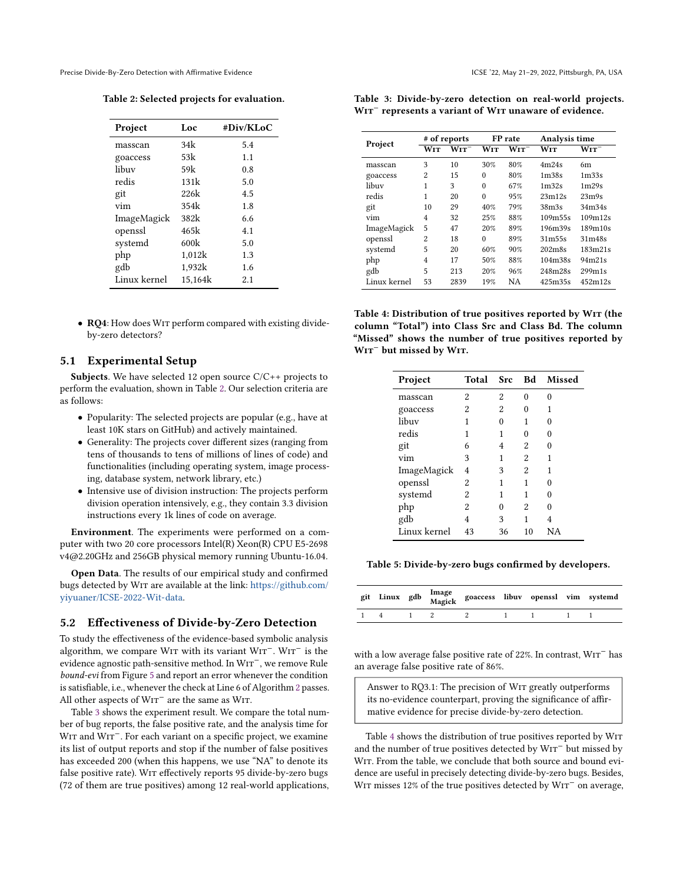<span id="page-8-0"></span>Precise Divide-By-Zero Detection with Affirmative Evidence ICSE '22, May 21-29, 2022, Pittsburgh, PA, USA

Table 2: Selected projects for evaluation.

| Project      | Loc     | #Div/KLoC |  |  |
|--------------|---------|-----------|--|--|
| masscan      | 34k     | 5.4       |  |  |
| goaccess     | 53k     | 1.1       |  |  |
| libuv        | 59k     | 0.8       |  |  |
| redis        | 131k    | 5.0       |  |  |
| git          | 226k    | 4.5       |  |  |
| vim          | 354k    | 1.8       |  |  |
| ImageMagick  | 382k    | 6.6       |  |  |
| openssl      | 465k    | 4.1       |  |  |
| systemd      | 600k    | 5.0       |  |  |
| php          | 1,012k  | 1.3       |  |  |
| gdb          | 1,932k  | 1.6       |  |  |
| Linux kernel | 15.164k | 2.1       |  |  |

• RQ4: How does WIT perform compared with existing divideby-zero detectors?

#### 5.1 Experimental Setup

**Subjects**. We have selected 12 open source  $C/C++$  projects to perform the evaluation, shown in Table [2.](#page-8-0) Our selection criteria are as follows:

- Popularity: The selected projects are popular (e.g., have at least 10K stars on GitHub) and actively maintained.
- Generality: The projects cover different sizes (ranging from tens of thousands to tens of millions of lines of code) and functionalities (including operating system, image processing, database system, network library, etc.)
- Intensive use of division instruction: The projects perform division operation intensively, e.g., they contain 3.3 division instructions every 1k lines of code on average.

Environment. The experiments were performed on a computer with two 20 core processors Intel(R) Xeon(R) CPU E5-2698 v4@2.20GHz and 256GB physical memory running Ubuntu-16.04.

Open Data. The results of our empirical study and confirmed bugs detected by WIT are available at the link: [https://github.com/](https://github.com/yiyuaner/ICSE-2022-Wit-data) [yiyuaner/ICSE-2022-Wit-data.](https://github.com/yiyuaner/ICSE-2022-Wit-data)

# 5.2 Effectiveness of Divide-by-Zero Detection

To study the effectiveness of the evidence-based symbolic analysis algorithm, we compare Wit with its variant Wit−. Wit<sup>−</sup> is the evidence agnostic path-sensitive method. In Wit−, we remove Rule bound-evi from Figure [5](#page-6-1) and report an error whenever the condition is satisfiable, i.e., whenever the check at Line 6 of Algorithm [2](#page-7-0) passes. All other aspects of W<sub>IT</sub><sup>−</sup> are the same as W<sub>IT</sub>.

Table [3](#page-8-1) shows the experiment result. We compare the total number of bug reports, the false positive rate, and the analysis time for W<sub>IT</sub> and W<sub>IT</sub><sup>−</sup>. For each variant on a specific project, we examine its list of output reports and stop if the number of false positives has exceeded 200 (when this happens, we use "NA" to denote its false positive rate). WIT effectively reports 95 divide-by-zero bugs (72 of them are true positives) among 12 real-world applications,

<span id="page-8-1"></span>Table 3: Divide-by-zero detection on real-world projects. WIT<sup>−</sup> represents a variant of WIT unaware of evidence.

|              | # of reports   |         | FP rate    |         | Analysis time     |                                |
|--------------|----------------|---------|------------|---------|-------------------|--------------------------------|
| Project      | Wтт            | $W1T^-$ | <b>WIT</b> | $W1T^-$ | WIT               | $W1T^-$                        |
| masscan      | 3              | 10      | 30%        | 80%     | 4m24s             | 6m                             |
| goaccess     | $\overline{c}$ | 15      | $\Omega$   | 80%     | 1 <sub>m38s</sub> | 1 <sub>m33s</sub>              |
| libuv        | 1              | 3       | $\theta$   | 67%     | 1 <sub>m32s</sub> | 1 <sub>m29s</sub>              |
| redis        | 1              | 20      | $\Omega$   | 95%     | 23m12s            | 23 <sub>m</sub> 9 <sub>s</sub> |
| git          | 10             | 29      | 40%        | 79%     | 38 <sub>m3s</sub> | 34m34s                         |
| vim          | $\overline{4}$ | 32      | 25%        | 88%     | 109m55s           | 109m12s                        |
| ImageMagick  | 5              | 47      | 20%        | 89%     | 196m39s           | 189m10s                        |
| openssl      | $\overline{c}$ | 18      | $\Omega$   | 89%     | 31m55s            | 31m48s                         |
| systemd      | 5              | 20      | 60%        | 90%     | 202m8s            | 183m21s                        |
| php          | 4              | 17      | 50%        | 88%     | 104m38s           | 94m21s                         |
| gdb          | 5              | 213     | 20%        | 96%     | 248m28s           | 299m1s                         |
| Linux kernel | 53             | 2839    | 19%        | NA      | 425m35s           | 452m12s                        |

<span id="page-8-2"></span>Table 4: Distribution of true positives reported by WIT (the column "Total") into Class Src and Class Bd. The column "Missed" shows the number of true positives reported by WIT<sup>-</sup> but missed by WIT.

|    | <b>Src</b> |       | <b>Bd</b> Missed |
|----|------------|-------|------------------|
| 2  | 2          | 0     | 0                |
| 2  | 2          | 0     | 1                |
| 1  | 0          | 1     | 0                |
| 1  | 1          | 0     | 0                |
| 6  | 4          | 2     | O                |
| 3  | 1          | 2     | 1                |
| 4  | 3          | 2     | 1                |
| 2  | 1          | 1     | 0                |
| 2  | 1          | 1     | O                |
| 2  | 0          | 2     | O                |
| 4  | 3          | 1     | 4                |
| 43 | 36         | 10    |                  |
|    |            | Total |                  |

<span id="page-8-3"></span>Table 5: Divide-by-zero bugs confirmed by developers.

|  |  | git Linux gdb Image goaccess libuv openssl vim systemd |  |  |
|--|--|--------------------------------------------------------|--|--|
|  |  | 1 4 1 2 2 1 1 1 1                                      |  |  |

with a low average false positive rate of 22%. In contrast, WIT<sup>-</sup> has an average false positive rate of 86%.

| Answer to RQ3.1: The precision of WIT greatly outperforms       |
|-----------------------------------------------------------------|
| its no-evidence counterpart, proving the significance of affir- |
| mative evidence for precise divide-by-zero detection.           |

Table [4](#page-8-2) shows the distribution of true positives reported by Wit and the number of true positives detected by Wit<sup>−</sup> but missed by WIT. From the table, we conclude that both source and bound evidence are useful in precisely detecting divide-by-zero bugs. Besides, WIT misses 12% of the true positives detected by WIT<sup>-</sup> on average,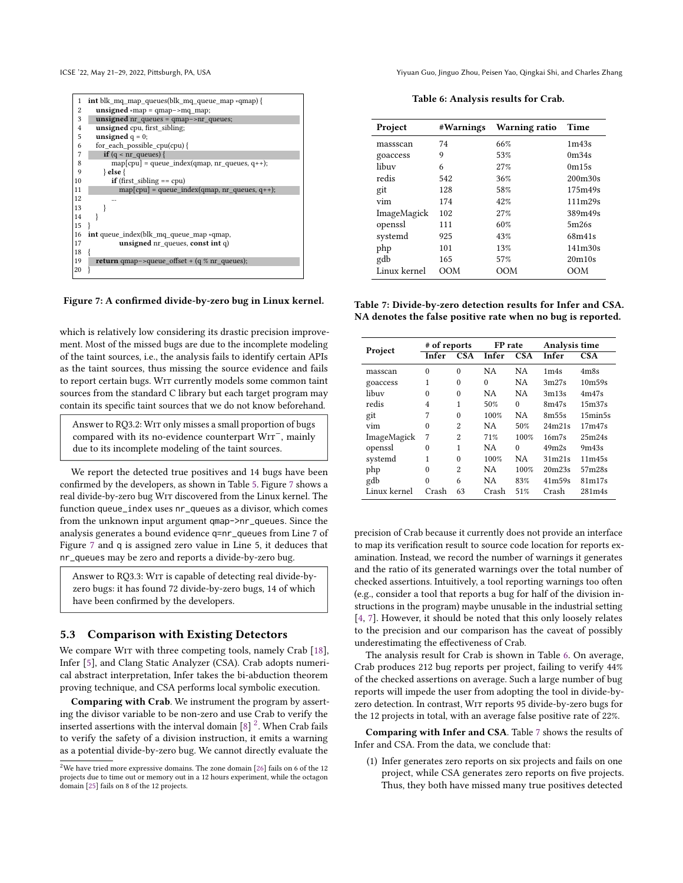<span id="page-9-0"></span>

| 1              | <b>int</b> blk_mq_map_queues(blk_mq_queue_map *qmap) {     |
|----------------|------------------------------------------------------------|
| 2              | <b>unsigned</b> *map = $qmap->mq_map$ ;                    |
| 3              | <b>unsigned</b> $nr$ queues = $qmap$ -> $nr$ queues;       |
| $\overline{4}$ | <b>unsigned</b> cpu, first_sibling;                        |
| 5              | <b>unsigned</b> $q = 0$ ;                                  |
| 6              | for_each_possible_cpu(cpu) {                               |
| 7              | $\mathbf{if}$ (q < nr_queues) {                            |
| 8              | $map[cpu] = queue_index(qmap, nr_queues, q++);$            |
| 9              | $\}$ else $\{$                                             |
| 10             | $\mathbf{if}$ (first_sibling == cpu)                       |
| 11             | $map[cpu] = queue_index(qmap, nr_queues, q++);$            |
| 12             |                                                            |
| 13             |                                                            |
| 14             | ł                                                          |
| 15             |                                                            |
| 16             | int queue_index(blk_mq_queue_map *qmap,                    |
| 17             | unsigned $nr_$ queues, const int q)                        |
| 18             |                                                            |
| 19             | <b>return</b> qmap->queue_offset + $(q \% nr_q)$ -queues); |
| 20             |                                                            |

Figure 7: A confirmed divide-by-zero bug in Linux kernel.

which is relatively low considering its drastic precision improvement. Most of the missed bugs are due to the incomplete modeling of the taint sources, i.e., the analysis fails to identify certain APIs as the taint sources, thus missing the source evidence and fails to report certain bugs. WIT currently models some common taint sources from the standard C library but each target program may contain its specific taint sources that we do not know beforehand.

Answer to RQ3.2: WIT only misses a small proportion of bugs compared with its no-evidence counterpart Wit−, mainly due to its incomplete modeling of the taint sources.

We report the detected true positives and 14 bugs have been confirmed by the developers, as shown in Table [5.](#page-8-3) Figure [7](#page-9-0) shows a real divide-by-zero bug Wit discovered from the Linux kernel. The function queue\_index uses nr\_queues as a divisor, which comes from the unknown input argument qmap->nr\_queues. Since the analysis generates a bound evidence q=nr\_queues from Line 7 of Figure [7](#page-9-0) and q is assigned zero value in Line 5, it deduces that nr\_queues may be zero and reports a divide-by-zero bug.

Answer to RQ3.3: WIT is capable of detecting real divide-byzero bugs: it has found 72 divide-by-zero bugs, 14 of which have been confirmed by the developers.

#### 5.3 Comparison with Existing Detectors

We compare WIT with three competing tools, namely Crab [\[18\]](#page-11-17), Infer [\[5\]](#page-10-5), and Clang Static Analyzer (CSA). Crab adopts numerical abstract interpretation, Infer takes the bi-abduction theorem proving technique, and CSA performs local symbolic execution.

Comparing with Crab. We instrument the program by asserting the divisor variable to be non-zero and use Crab to verify the inserted assertions with the interval domain  $[8]^2$  $[8]^2$  $[8]^2$ . When Crab fails to verify the safety of a division instruction, it emits a warning as a potential divide-by-zero bug. We cannot directly evaluate the

ICSE '22, May 21–29, 2022, Pittsburgh, PA, USA Yiyuan Guo, Jinguo Zhou, Peisen Yao, Qingkai Shi, and Charles Zhang

Table 6: Analysis results for Crab.

<span id="page-9-1"></span>

| Project      | #Warnings | Warning ratio | Time                             |
|--------------|-----------|---------------|----------------------------------|
| massscan     | 74        | 66%           | 1 <sub>m43s</sub>                |
| goaccess     | 9         | 53%           | 0 <sub>m34s</sub>                |
| libuv        | 6         | 27%           | 0m15s                            |
| redis        | 542       | 36%           | 200m30s                          |
| git          | 128       | 58%           | 175m49s                          |
| vim          | 174       | 42%           | 111 <sub>m</sub> 29 <sub>s</sub> |
| ImageMagick  | 102       | 27%           | 389m49s                          |
| openssl      | 111       | 60%           | 5m26s                            |
| systemd      | 925       | 43%           | 68m41s                           |
| php          | 101       | 13%           | 141 <sub>m</sub> 30 <sub>s</sub> |
| gdb          | 165       | 57%           | 20m10s                           |
| Linux kernel | OOM       | OOM           | OOM                              |

<span id="page-9-2"></span>Table 7: Divide-by-zero detection results for Infer and CSA. NA denotes the false positive rate when no bug is reported.

| Project      | # of reports |                         | FP rate  |            | Analysis time     |                               |
|--------------|--------------|-------------------------|----------|------------|-------------------|-------------------------------|
|              | Infer        | <b>CSA</b>              | Infer    | <b>CSA</b> | Infer             | <b>CSA</b>                    |
| masscan      | $\Omega$     | $\Omega$                | NA       | <b>NA</b>  | 1 <sub>m4s</sub>  | 4 <sub>m</sub> 8 <sub>s</sub> |
| goaccess     | 1            | $\theta$                | $\theta$ | NA.        | 3m27s             | 10 <sub>m59s</sub>            |
| libuv        | $\Omega$     | $\Omega$                | NA       | <b>NA</b>  | 3m13s             | 4m47s                         |
| redis        | 4            | 1                       | 50%      | $\Omega$   | 8m47s             | 15 <sub>m37s</sub>            |
| git          | 7            | $\Omega$                | 100%     | NA.        | 8m55s             | 15 <sub>min5s</sub>           |
| vim          | 0            | 2                       | NA       | 50%        | 24m21s            | 17 <sub>m47s</sub>            |
| ImageMagick  | 7            | $\overline{\mathbf{c}}$ | 71%      | 100%       | 16m7s             | 25m24s                        |
| openssl      | $\Omega$     | 1                       | NA       | $\Omega$   | 49 <sub>m2s</sub> | 9m43s                         |
| systemd      | 1            | $\Omega$                | 100%     | NA.        | 31m21s            | 11 <sub>m45s</sub>            |
| php          | 0            | $\overline{\mathbf{c}}$ | NA       | 100%       | 20m23s            | 57m28s                        |
| gdb          | $\Omega$     | 6                       | NΑ       | 83%        | 41m59s            | 81m17s                        |
| Linux kernel | Crash        | 63                      | Crash    | 51%        | Crash             | 281m4s                        |

precision of Crab because it currently does not provide an interface to map its verification result to source code location for reports examination. Instead, we record the number of warnings it generates and the ratio of its generated warnings over the total number of checked assertions. Intuitively, a tool reporting warnings too often (e.g., consider a tool that reports a bug for half of the division instructions in the program) maybe unusable in the industrial setting [\[4,](#page-10-1) [7\]](#page-10-6). However, it should be noted that this only loosely relates to the precision and our comparison has the caveat of possibly underestimating the effectiveness of Crab.

The analysis result for Crab is shown in Table [6.](#page-9-1) On average, Crab produces 212 bug reports per project, failing to verify 44% of the checked assertions on average. Such a large number of bug reports will impede the user from adopting the tool in divide-byzero detection. In contrast, WIT reports 95 divide-by-zero bugs for the 12 projects in total, with an average false positive rate of 22%.

Comparing with Infer and CSA. Table [7](#page-9-2) shows the results of Infer and CSA. From the data, we conclude that:

(1) Infer generates zero reports on six projects and fails on one project, while CSA generates zero reports on five projects. Thus, they both have missed many true positives detected

<sup>&</sup>lt;sup>2</sup>We have tried more expressive domains. The zone domain [\[26\]](#page-11-18) fails on 6 of the 12 projects due to time out or memory out in a 12 hours experiment, while the octagon domain [\[25\]](#page-11-9) fails on 8 of the 12 projects.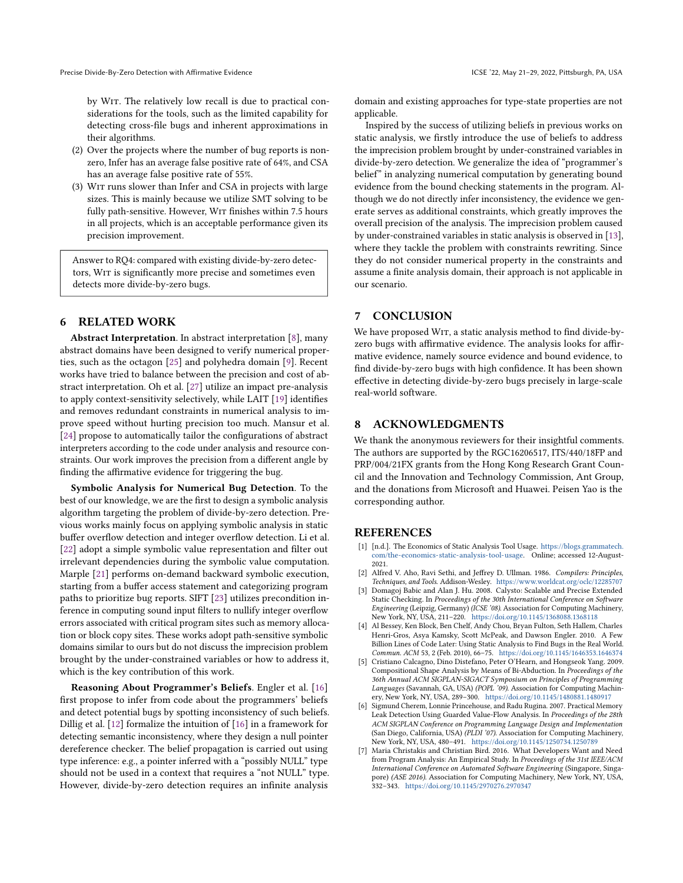by WIT. The relatively low recall is due to practical considerations for the tools, such as the limited capability for detecting cross-file bugs and inherent approximations in their algorithms.

- (2) Over the projects where the number of bug reports is nonzero, Infer has an average false positive rate of 64%, and CSA has an average false positive rate of 55%.
- (3) Wit runs slower than Infer and CSA in projects with large sizes. This is mainly because we utilize SMT solving to be fully path-sensitive. However, WIT finishes within 7.5 hours in all projects, which is an acceptable performance given its precision improvement.

Answer to RQ4: compared with existing divide-by-zero detectors, WIT is significantly more precise and sometimes even detects more divide-by-zero bugs.

# 6 RELATED WORK

Abstract Interpretation. In abstract interpretation [\[8\]](#page-11-7), many abstract domains have been designed to verify numerical properties, such as the octagon [\[25\]](#page-11-9) and polyhedra domain [\[9\]](#page-11-8). Recent works have tried to balance between the precision and cost of abstract interpretation. Oh et al. [\[27\]](#page-11-19) utilize an impact pre-analysis to apply context-sensitivity selectively, while LAIT [\[19\]](#page-11-20) identifies and removes redundant constraints in numerical analysis to improve speed without hurting precision too much. Mansur et al. [\[24\]](#page-11-21) propose to automatically tailor the configurations of abstract interpreters according to the code under analysis and resource constraints. Our work improves the precision from a different angle by finding the affirmative evidence for triggering the bug.

Symbolic Analysis for Numerical Bug Detection. To the best of our knowledge, we are the first to design a symbolic analysis algorithm targeting the problem of divide-by-zero detection. Previous works mainly focus on applying symbolic analysis in static buffer overflow detection and integer overflow detection. Li et al. [\[22\]](#page-11-22) adopt a simple symbolic value representation and filter out irrelevant dependencies during the symbolic value computation. Marple [\[21\]](#page-11-23) performs on-demand backward symbolic execution, starting from a buffer access statement and categorizing program paths to prioritize bug reports. SIFT [\[23\]](#page-11-24) utilizes precondition inference in computing sound input filters to nullify integer overflow errors associated with critical program sites such as memory allocation or block copy sites. These works adopt path-sensitive symbolic domains similar to ours but do not discuss the imprecision problem brought by the under-constrained variables or how to address it, which is the key contribution of this work.

Reasoning About Programmer's Beliefs. Engler et al. [\[16\]](#page-11-5) first propose to infer from code about the programmers' beliefs and detect potential bugs by spotting inconsistency of such beliefs. Dillig et al. [\[12\]](#page-11-25) formalize the intuition of [\[16\]](#page-11-5) in a framework for detecting semantic inconsistency, where they design a null pointer dereference checker. The belief propagation is carried out using type inference: e.g., a pointer inferred with a "possibly NULL" type should not be used in a context that requires a "not NULL" type. However, divide-by-zero detection requires an infinite analysis

domain and existing approaches for type-state properties are not applicable.

Inspired by the success of utilizing beliefs in previous works on static analysis, we firstly introduce the use of beliefs to address the imprecision problem brought by under-constrained variables in divide-by-zero detection. We generalize the idea of "programmer's belief" in analyzing numerical computation by generating bound evidence from the bound checking statements in the program. Although we do not directly infer inconsistency, the evidence we generate serves as additional constraints, which greatly improves the overall precision of the analysis. The imprecision problem caused by under-constrained variables in static analysis is observed in [\[13\]](#page-11-1), where they tackle the problem with constraints rewriting. Since they do not consider numerical property in the constraints and assume a finite analysis domain, their approach is not applicable in our scenario.

# 7 CONCLUSION

We have proposed WIT, a static analysis method to find divide-byzero bugs with affirmative evidence. The analysis looks for affirmative evidence, namely source evidence and bound evidence, to find divide-by-zero bugs with high confidence. It has been shown effective in detecting divide-by-zero bugs precisely in large-scale real-world software.

# 8 ACKNOWLEDGMENTS

We thank the anonymous reviewers for their insightful comments. The authors are supported by the RGC16206517, ITS/440/18FP and PRP/004/21FX grants from the Hong Kong Research Grant Council and the Innovation and Technology Commission, Ant Group, and the donations from Microsoft and Huawei. Peisen Yao is the corresponding author.

## REFERENCES

- <span id="page-10-0"></span>[1] [n.d.]. The Economics of Static Analysis Tool Usage. [https://blogs.grammatech.](https://blogs.grammatech.com/the-economics-static-analysis-tool-usage) [com/the-economics-static-analysis-tool-usage.](https://blogs.grammatech.com/the-economics-static-analysis-tool-usage) Online; accessed 12-August-2021.
- <span id="page-10-4"></span>[2] Alfred V. Aho, Ravi Sethi, and Jeffrey D. Ullman. 1986. Compilers: Principles, Techniques, and Tools. Addison-Wesley. <https://www.worldcat.org/oclc/12285707>
- <span id="page-10-2"></span>[3] Domagoj Babic and Alan J. Hu. 2008. Calysto: Scalable and Precise Extended Static Checking. In Proceedings of the 30th International Conference on Software Engineering (Leipzig, Germany) (ICSE '08). Association for Computing Machinery, New York, NY, USA, 211–220. <https://doi.org/10.1145/1368088.1368118>
- <span id="page-10-1"></span>[4] Al Bessey, Ken Block, Ben Chelf, Andy Chou, Bryan Fulton, Seth Hallem, Charles Henri-Gros, Asya Kamsky, Scott McPeak, and Dawson Engler. 2010. A Few Billion Lines of Code Later: Using Static Analysis to Find Bugs in the Real World. Commun. ACM 53, 2 (Feb. 2010), 66–75. <https://doi.org/10.1145/1646353.1646374>
- <span id="page-10-5"></span>[5] Cristiano Calcagno, Dino Distefano, Peter O'Hearn, and Hongseok Yang. 2009. Compositional Shape Analysis by Means of Bi-Abduction. In Proceedings of the 36th Annual ACM SIGPLAN-SIGACT Symposium on Principles of Programming Languages (Savannah, GA, USA) (POPL '09). Association for Computing Machinery, New York, NY, USA, 289–300. <https://doi.org/10.1145/1480881.1480917>
- <span id="page-10-3"></span>[6] Sigmund Cherem, Lonnie Princehouse, and Radu Rugina. 2007. Practical Memory Leak Detection Using Guarded Value-Flow Analysis. In Proceedings of the 28th ACM SIGPLAN Conference on Programming Language Design and Implementation (San Diego, California, USA) (PLDI '07). Association for Computing Machinery, New York, NY, USA, 480–491. <https://doi.org/10.1145/1250734.1250789>
- <span id="page-10-6"></span>[7] Maria Christakis and Christian Bird. 2016. What Developers Want and Need from Program Analysis: An Empirical Study. In Proceedings of the 31st IEEE/ACM International Conference on Automated Software Engineering (Singapore, Singapore) (ASE 2016). Association for Computing Machinery, New York, NY, USA, 332–343. <https://doi.org/10.1145/2970276.2970347>